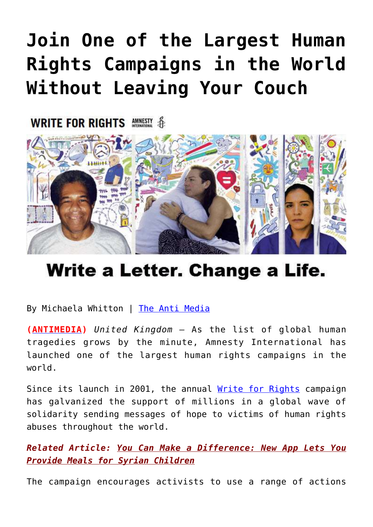## **[Join One of the Largest Human](https://consciouslifenews.com/join-one-largest-human-rights-campaigns-world-leaving-couch/11102031/) [Rights Campaigns in the World](https://consciouslifenews.com/join-one-largest-human-rights-campaigns-world-leaving-couch/11102031/) [Without Leaving Your Couch](https://consciouslifenews.com/join-one-largest-human-rights-campaigns-world-leaving-couch/11102031/)**

**WRITE FOR RIGHTS AMMERIX &** 



## Write a Letter. Change a Life.

By Michaela Whitton | [The Anti Media](https://theantimedia.org/heres-how-to-join-one-of-the-largest-human-rights-campaigns-in-the-world-without-leaving-your-couch/)

**([ANTIMEDIA\)](https://theantimedia.org/)** *United Kingdom —* As the list of global human tragedies grows by the minute, Amnesty International has launched one of the largest human rights campaigns in the world.

Since its launch in 2001, the annual [Write for Rights](https://write.amnestyusa.org/cases/) campaign has galvanized the support of millions in a global wave of solidarity sending messages of hope to victims of human rights abuses throughout the world.

*Related Article: [You Can Make a Difference: New App Lets You](https://consciouslifenews.com/new-app-lets-users-provide-meals-syrian-children/11101830/) [Provide Meals for Syrian Children](https://consciouslifenews.com/new-app-lets-users-provide-meals-syrian-children/11101830/)*

The campaign encourages activists to use a range of actions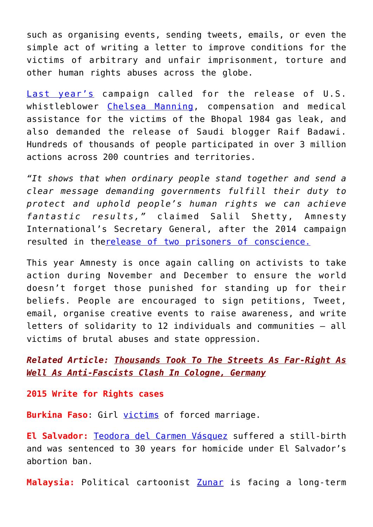such as organising events, sending tweets, emails, or even the simple act of writing a letter to improve conditions for the victims of arbitrary and unfair imprisonment, torture and other human rights abuses across the globe.

[Last year's](https://www.amnesty.org/en/latest/news/2014/11/amnesty-international-launches-write-rights-world-s-largest-human-rights-campaign/) campaign called for the release of U.S. whistleblower [Chelsea Manning](https://campaigns.amnesty.org/actions/write-for-rights-chelsea-manning), compensation and medical assistance for the victims of the Bhopal 1984 gas leak, and also demanded the release of Saudi blogger Raif Badawi. Hundreds of thousands of people participated in over 3 million actions across 200 countries and territories.

*"It shows that when ordinary people stand together and send a clear message demanding governments fulfill their duty to protect and uphold people's human rights we can achieve fantastic results,"* claimed Salil Shetty, Amnesty International's Secretary General, after the 2014 campaign resulted in th[erelease of two prisoners of conscience.](https://www.amnesty.org/en/latest/news/2014/02/write-rights-prisoners-freed-following-largest-ever-letter-writing-campaign/)

This year Amnesty is once again calling on activists to take action during November and December to ensure the world doesn't forget those punished for standing up for their beliefs. People are encouraged to sign petitions, Tweet, email, organise creative events to raise awareness, and write letters of solidarity to 12 individuals and communities — all victims of brutal abuses and state oppression.

*Related Article: [Thousands Took To The Streets As Far-Right As](https://consciouslifenews.com/thousands-streets-anti-fascists-clash-cologne-germany/11100328/) [Well As Anti-Fascists Clash In Cologne, Germany](https://consciouslifenews.com/thousands-streets-anti-fascists-clash-cologne-germany/11100328/)*

**2015 Write for Rights cases**

**Burkina Faso**: Girl [victims](https://write.amnestyusa.org/case/burkinafaso/) of forced marriage.

**El Salvador:** [Teodora del Carmen Vásquez](https://write.amnestyusa.org/case/teodora/) suffered a still-birth and was sentenced to 30 years for homicide under El Salvador's abortion ban.

**Malaysia:** Political cartoonist [Zunar](https://write.amnestyusa.org/case/zunar/) is facing a long-term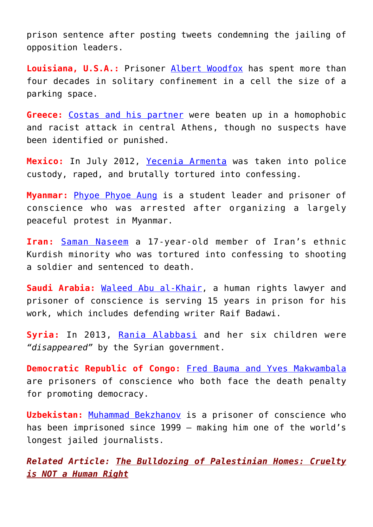prison sentence after posting tweets condemning the jailing of opposition leaders.

**Louisiana, U.S.A.:** Prisoner [Albert Woodfox](https://write.amnestyusa.org/case/albert/) has spent more than four decades in solitary confinement in a cell the size of a parking space.

**Greece:** [Costas and his partner](https://write.amnestyusa.org/case/costas/) were beaten up in a homophobic and racist attack in central Athens, though no suspects have been identified or punished.

**Mexico:** In July 2012, [Yecenia Armenta](https://write.amnestyusa.org/case/yecenia/) was taken into police custody, raped, and brutally tortured into confessing.

**Myanmar:** [Phyoe Phyoe Aung](https://write.amnestyusa.org/case/phyoe/) is a student leader and prisoner of conscience who was arrested after organizing a largely peaceful protest in Myanmar.

**Iran:** [Saman Naseem](https://write.amnestyusa.org/case/saman/) a 17-year-old member of Iran's ethnic Kurdish minority who was tortured into confessing to shooting a soldier and sentenced to death.

**Saudi Arabia:** [Waleed Abu al-Khair,](https://write.amnestyusa.org/case/waleed/) a human rights lawyer and prisoner of conscience is serving 15 years in prison for his work, which includes defending writer Raif Badawi.

**Syria:** In 2013, [Rania Alabbasi](https://write.amnestyusa.org/case/rania/) and her six children were *"disappeared"* by the Syrian government.

**Democratic Republic of Congo:** [Fred Bauma and Yves Makwambala](https://write.amnestyusa.org/case/fredyves/) are prisoners of conscience who both face the death penalty for promoting democracy.

**Uzbekistan:** [Muhammad Bekzhanov](https://write.amnestyusa.org/case/muhammad/) is a prisoner of conscience who has been imprisoned since 1999 — making him one of the world's longest jailed journalists.

*Related Article: [The Bulldozing of Palestinian Homes: Cruelty](https://consciouslifenews.com/bulldozing-palestinian-homes-cruelty-human/1196336/) [is NOT a Human Right](https://consciouslifenews.com/bulldozing-palestinian-homes-cruelty-human/1196336/)*